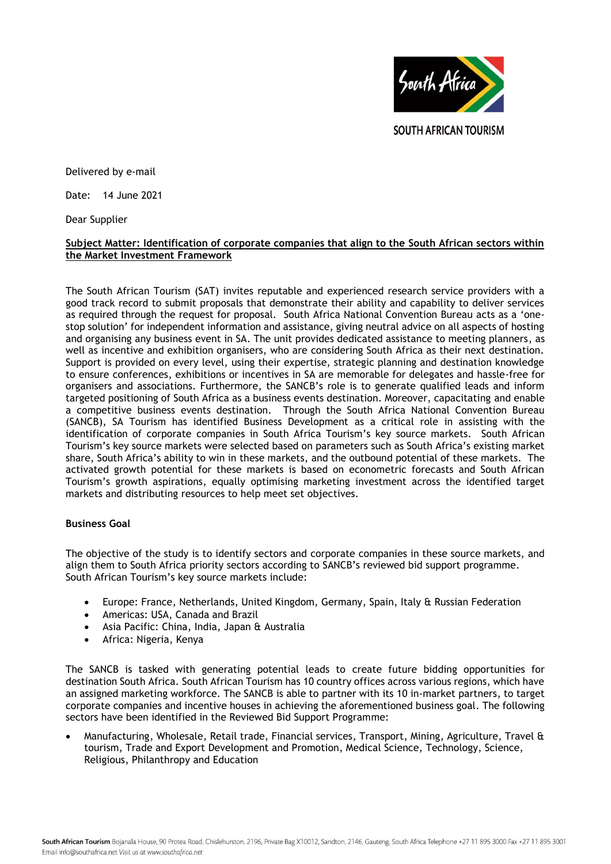

Delivered by e-mail

Date: 14 June 2021

Dear Supplier

## **Subject Matter: Identification of corporate companies that align to the South African sectors within the Market Investment Framework**

The South African Tourism (SAT) invites reputable and experienced research service providers with a good track record to submit proposals that demonstrate their ability and capability to deliver services as required through the request for proposal. South Africa National Convention Bureau acts as a 'onestop solution' for independent information and assistance, giving neutral advice on all aspects of hosting and organising any business event in SA. The unit provides dedicated assistance to meeting planners, as well as incentive and exhibition organisers, who are considering South Africa as their next destination. Support is provided on every level, using their expertise, strategic planning and destination knowledge to ensure conferences, exhibitions or incentives in SA are memorable for delegates and hassle-free for organisers and associations. Furthermore, the SANCB's role is to generate qualified leads and inform targeted positioning of South Africa as a business events destination. Moreover, capacitating and enable a competitive business events destination. Through the South Africa National Convention Bureau (SANCB), SA Tourism has identified Business Development as a critical role in assisting with the identification of corporate companies in South Africa Tourism's key source markets. South African Tourism's key source markets were selected based on parameters such as South Africa's existing market share, South Africa's ability to win in these markets, and the outbound potential of these markets. The activated growth potential for these markets is based on econometric forecasts and South African Tourism's growth aspirations, equally optimising marketing investment across the identified target markets and distributing resources to help meet set objectives.

# **Business Goal**

The objective of the study is to identify sectors and corporate companies in these source markets, and align them to South Africa priority sectors according to SANCB's reviewed bid support programme. South African Tourism's key source markets include:

- Europe: France, Netherlands, United Kingdom, Germany, Spain, Italy & Russian Federation
- Americas: USA, Canada and Brazil
- Asia Pacific: China, India, Japan & Australia
- Africa: Nigeria, Kenya

The SANCB is tasked with generating potential leads to create future bidding opportunities for destination South Africa. South African Tourism has 10 country offices across various regions, which have an assigned marketing workforce. The SANCB is able to partner with its 10 in-market partners, to target corporate companies and incentive houses in achieving the aforementioned business goal. The following sectors have been identified in the Reviewed Bid Support Programme:

 Manufacturing, Wholesale, Retail trade, Financial services, Transport, Mining, Agriculture, Travel & tourism, Trade and Export Development and Promotion, Medical Science, Technology, Science, Religious, Philanthropy and Education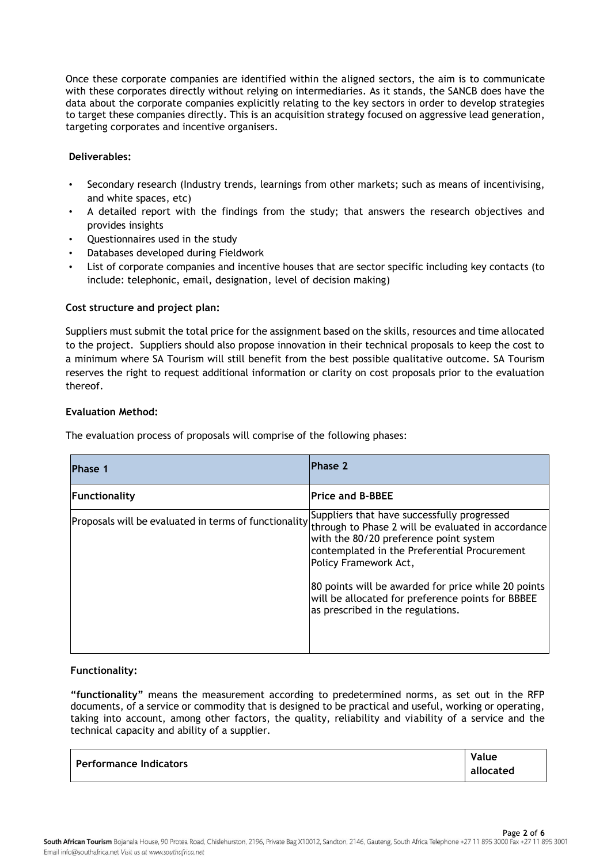Once these corporate companies are identified within the aligned sectors, the aim is to communicate with these corporates directly without relying on intermediaries. As it stands, the SANCB does have the data about the corporate companies explicitly relating to the key sectors in order to develop strategies to target these companies directly. This is an acquisition strategy focused on aggressive lead generation, targeting corporates and incentive organisers.

# **Deliverables:**

- Secondary research (Industry trends, learnings from other markets; such as means of incentivising, and white spaces, etc)
- A detailed report with the findings from the study; that answers the research objectives and provides insights
- Questionnaires used in the study
- Databases developed during Fieldwork
- List of corporate companies and incentive houses that are sector specific including key contacts (to include: telephonic, email, designation, level of decision making)

# **Cost structure and project plan:**

Suppliers must submit the total price for the assignment based on the skills, resources and time allocated to the project. Suppliers should also propose innovation in their technical proposals to keep the cost to a minimum where SA Tourism will still benefit from the best possible qualitative outcome. SA Tourism reserves the right to request additional information or clarity on cost proposals prior to the evaluation thereof.

### **Evaluation Method:**

The evaluation process of proposals will comprise of the following phases:

| Phase 1       | Phase 2                                                                                                                                                                                                                                |
|---------------|----------------------------------------------------------------------------------------------------------------------------------------------------------------------------------------------------------------------------------------|
| Functionality | <b>Price and B-BBEE</b>                                                                                                                                                                                                                |
|               | <br> Proposals will be evaluated in terms of functionality <br> through to Phase 2 will be evaluated in accordance <br>with the 80/20 preference point system<br>contemplated in the Preferential Procurement<br>Policy Framework Act, |
|               | 80 points will be awarded for price while 20 points<br>will be allocated for preference points for BBBEE<br>as prescribed in the regulations.                                                                                          |

# **Functionality:**

**"functionality"** means the measurement according to predetermined norms, as set out in the RFP documents, of a service or commodity that is designed to be practical and useful, working or operating, taking into account, among other factors, the quality, reliability and viability of a service and the technical capacity and ability of a supplier.

| l Performance Indicators | Value     |
|--------------------------|-----------|
|                          | allocated |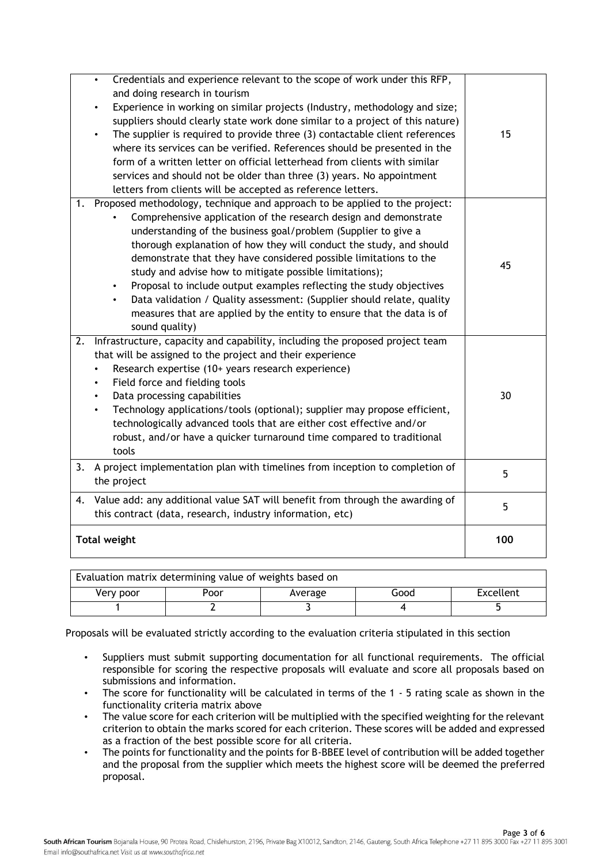|                                                                                                                                                  | <b>Total weight</b>                                                                                                                                                                                                                                                                                                                                                                                                                                                                                                                                                                                                                                                                           | 100 |
|--------------------------------------------------------------------------------------------------------------------------------------------------|-----------------------------------------------------------------------------------------------------------------------------------------------------------------------------------------------------------------------------------------------------------------------------------------------------------------------------------------------------------------------------------------------------------------------------------------------------------------------------------------------------------------------------------------------------------------------------------------------------------------------------------------------------------------------------------------------|-----|
| Value add: any additional value SAT will benefit from through the awarding of<br>4.<br>this contract (data, research, industry information, etc) |                                                                                                                                                                                                                                                                                                                                                                                                                                                                                                                                                                                                                                                                                               | 5   |
|                                                                                                                                                  | 3. A project implementation plan with timelines from inception to completion of<br>the project                                                                                                                                                                                                                                                                                                                                                                                                                                                                                                                                                                                                | 5   |
| 2.                                                                                                                                               | Infrastructure, capacity and capability, including the proposed project team<br>that will be assigned to the project and their experience<br>Research expertise (10+ years research experience)<br>Field force and fielding tools<br>Data processing capabilities<br>30<br>$\bullet$<br>Technology applications/tools (optional); supplier may propose efficient,<br>technologically advanced tools that are either cost effective and/or<br>robust, and/or have a quicker turnaround time compared to traditional<br>tools                                                                                                                                                                   |     |
| 1.                                                                                                                                               | Proposed methodology, technique and approach to be applied to the project:<br>Comprehensive application of the research design and demonstrate<br>understanding of the business goal/problem (Supplier to give a<br>thorough explanation of how they will conduct the study, and should<br>demonstrate that they have considered possible limitations to the<br>study and advise how to mitigate possible limitations);<br>Proposal to include output examples reflecting the study objectives<br>$\bullet$<br>Data validation / Quality assessment: (Supplier should relate, quality<br>$\bullet$<br>measures that are applied by the entity to ensure that the data is of<br>sound quality) | 45  |
|                                                                                                                                                  | $\bullet$<br>and doing research in tourism<br>Experience in working on similar projects (Industry, methodology and size;<br>$\bullet$<br>suppliers should clearly state work done similar to a project of this nature)<br>The supplier is required to provide three (3) contactable client references<br>where its services can be verified. References should be presented in the<br>form of a written letter on official letterhead from clients with similar<br>services and should not be older than three (3) years. No appointment<br>letters from clients will be accepted as reference letters.                                                                                       | 15  |
|                                                                                                                                                  | Credentials and experience relevant to the scope of work under this RFP,                                                                                                                                                                                                                                                                                                                                                                                                                                                                                                                                                                                                                      |     |

| Evaluation matrix determining value of weights based on |      |         |      |           |
|---------------------------------------------------------|------|---------|------|-----------|
| Very poor                                               | Poor | Average | Good | Excellent |
|                                                         |      |         |      |           |

Proposals will be evaluated strictly according to the evaluation criteria stipulated in this section

- Suppliers must submit supporting documentation for all functional requirements. The official responsible for scoring the respective proposals will evaluate and score all proposals based on submissions and information.
- The score for functionality will be calculated in terms of the 1 5 rating scale as shown in the functionality criteria matrix above
- The value score for each criterion will be multiplied with the specified weighting for the relevant criterion to obtain the marks scored for each criterion. These scores will be added and expressed as a fraction of the best possible score for all criteria.
- The points for functionality and the points for B-BBEE level of contribution will be added together and the proposal from the supplier which meets the highest score will be deemed the preferred proposal.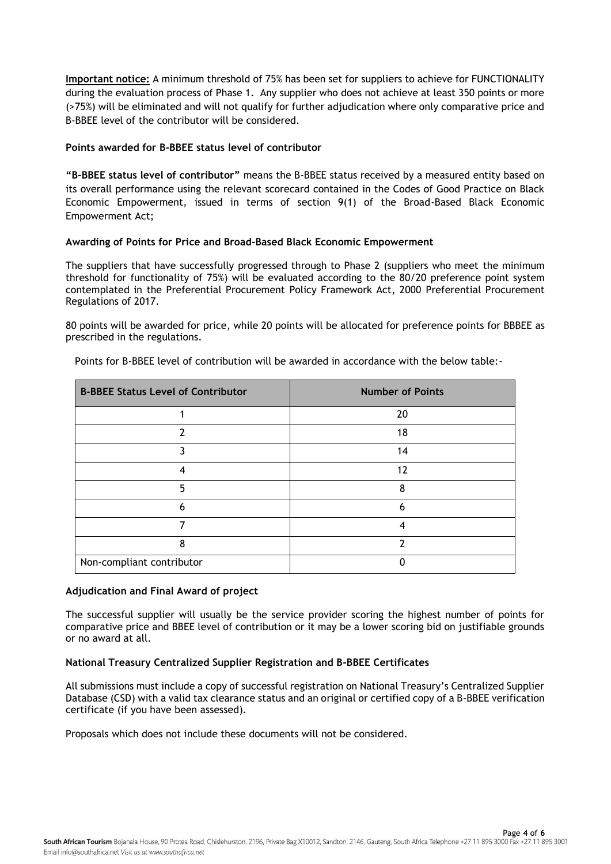**Important notice:** A minimum threshold of 75% has been set for suppliers to achieve for FUNCTIONALITY during the evaluation process of Phase 1. Any supplier who does not achieve at least 350 points or more (>75%) will be eliminated and will not qualify for further adjudication where only comparative price and B-BBEE level of the contributor will be considered.

# **Points awarded for B-BBEE status level of contributor**

**"B-BBEE status level of contributor"** means the B-BBEE status received by a measured entity based on its overall performance using the relevant scorecard contained in the Codes of Good Practice on Black Economic Empowerment, issued in terms of section 9(1) of the Broad-Based Black Economic Empowerment Act;

### **Awarding of Points for Price and Broad-Based Black Economic Empowerment**

The suppliers that have successfully progressed through to Phase 2 (suppliers who meet the minimum threshold for functionality of 75%) will be evaluated according to the 80/20 preference point system contemplated in the Preferential Procurement Policy Framework Act, 2000 Preferential Procurement Regulations of 2017.

80 points will be awarded for price, while 20 points will be allocated for preference points for BBBEE as prescribed in the regulations.

| <b>B-BBEE Status Level of Contributor</b> | <b>Number of Points</b> |
|-------------------------------------------|-------------------------|
|                                           | 20                      |
|                                           | 18                      |
|                                           | 14                      |
| 4                                         | 12                      |
| 5                                         | ጸ                       |
| h                                         | 6                       |
|                                           |                         |
| ጸ                                         | າ                       |
| Non-compliant contributor                 |                         |

Points for B-BBEE level of contribution will be awarded in accordance with the below table:-

#### **Adjudication and Final Award of project**

The successful supplier will usually be the service provider scoring the highest number of points for comparative price and BBEE level of contribution or it may be a lower scoring bid on justifiable grounds or no award at all.

#### **National Treasury Centralized Supplier Registration and B-BBEE Certificates**

All submissions must include a copy of successful registration on National Treasury's Centralized Supplier Database (CSD) with a valid tax clearance status and an original or certified copy of a B-BBEE verification certificate (if you have been assessed).

Proposals which does not include these documents will not be considered.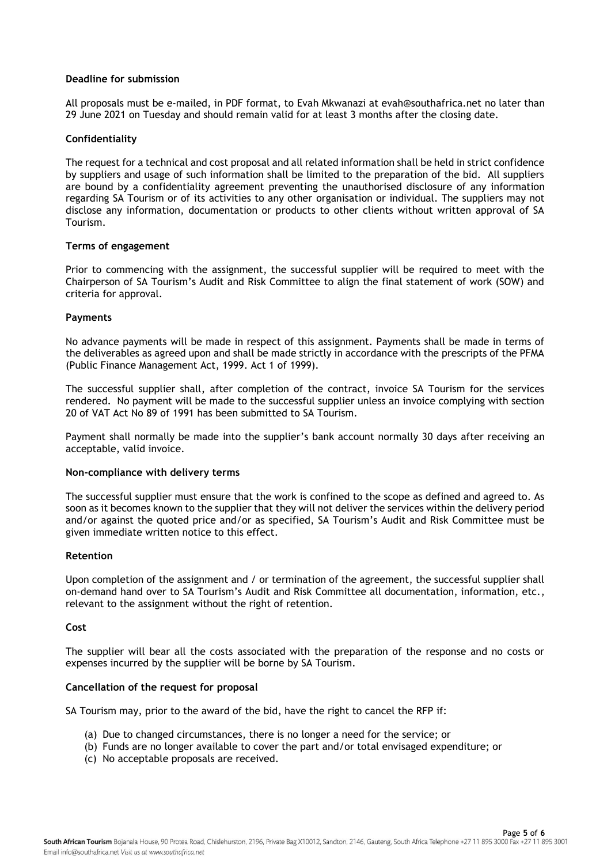### **Deadline for submission**

All proposals must be e-mailed, in PDF format, to Evah Mkwanazi at evah@southafrica.net no later than 29 June 2021 on Tuesday and should remain valid for at least 3 months after the closing date.

## **Confidentiality**

The request for a technical and cost proposal and all related information shall be held in strict confidence by suppliers and usage of such information shall be limited to the preparation of the bid. All suppliers are bound by a confidentiality agreement preventing the unauthorised disclosure of any information regarding SA Tourism or of its activities to any other organisation or individual. The suppliers may not disclose any information, documentation or products to other clients without written approval of SA Tourism.

#### **Terms of engagement**

Prior to commencing with the assignment, the successful supplier will be required to meet with the Chairperson of SA Tourism's Audit and Risk Committee to align the final statement of work (SOW) and criteria for approval.

### **Payments**

No advance payments will be made in respect of this assignment. Payments shall be made in terms of the deliverables as agreed upon and shall be made strictly in accordance with the prescripts of the PFMA (Public Finance Management Act, 1999. Act 1 of 1999).

The successful supplier shall, after completion of the contract, invoice SA Tourism for the services rendered. No payment will be made to the successful supplier unless an invoice complying with section 20 of VAT Act No.89 of 1991 has been submitted to SA Tourism.

Payment shall normally be made into the supplier's bank account normally 30 days after receiving an acceptable, valid invoice.

#### **Non-compliance with delivery terms**

The successful supplier must ensure that the work is confined to the scope as defined and agreed to. As soon as it becomes known to the supplier that they will not deliver the services within the delivery period and/or against the quoted price and/or as specified, SA Tourism's Audit and Risk Committee must be given immediate written notice to this effect.

#### **Retention**

Upon completion of the assignment and / or termination of the agreement, the successful supplier shall on-demand hand over to SA Tourism's Audit and Risk Committee all documentation, information, etc., relevant to the assignment without the right of retention.

#### **Cost**

The supplier will bear all the costs associated with the preparation of the response and no costs or expenses incurred by the supplier will be borne by SA Tourism.

#### **Cancellation of the request for proposal**

SA Tourism may, prior to the award of the bid, have the right to cancel the RFP if:

- (a) Due to changed circumstances, there is no longer a need for the service; or
- (b) Funds are no longer available to cover the part and/or total envisaged expenditure; or
- (c) No acceptable proposals are received.